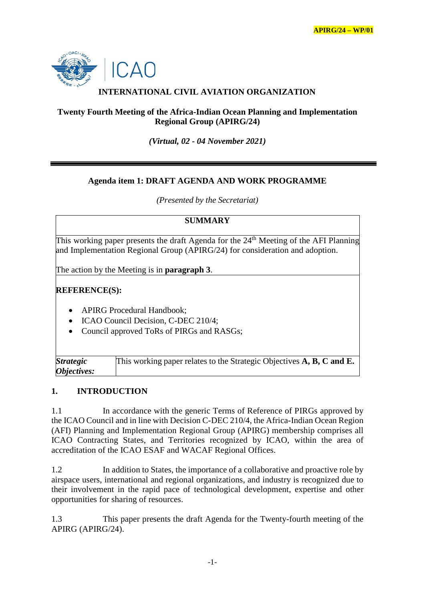

# **INTERNATIONAL CIVIL AVIATION ORGANIZATION**

#### **Twenty Fourth Meeting of the Africa-Indian Ocean Planning and Implementation Regional Group (APIRG/24)**

*(Virtual, 02 - 04 November 2021)*

#### **Agenda item 1: DRAFT AGENDA AND WORK PROGRAMME**

*(Presented by the Secretariat)*

#### **SUMMARY**

This working paper presents the draft Agenda for the 24<sup>th</sup> Meeting of the AFI Planning and Implementation Regional Group (APIRG/24) for consideration and adoption.

The action by the Meeting is in **paragraph 3**.

# **REFERENCE(S):**

- APIRG Procedural Handbook;
- ICAO Council Decision, C-DEC 210/4;
- Council approved ToRs of PIRGs and RASGs;

| <i><b>Strategic</b></i>   | This working paper relates to the Strategic Objectives A, B, C and E. |
|---------------------------|-----------------------------------------------------------------------|
| <i><b>Objectives:</b></i> |                                                                       |

#### **1. INTRODUCTION**

1.1 In accordance with the generic Terms of Reference of PIRGs approved by the ICAO Council and in line with Decision C-DEC 210/4, the Africa-Indian Ocean Region (AFI) Planning and Implementation Regional Group (APIRG) membership comprises all ICAO Contracting States, and Territories recognized by ICAO, within the area of accreditation of the ICAO ESAF and WACAF Regional Offices.

1.2 In addition to States, the importance of a collaborative and proactive role by airspace users, international and regional organizations, and industry is recognized due to their involvement in the rapid pace of technological development, expertise and other opportunities for sharing of resources.

1.3 This paper presents the draft Agenda for the Twenty-fourth meeting of the APIRG (APIRG/24).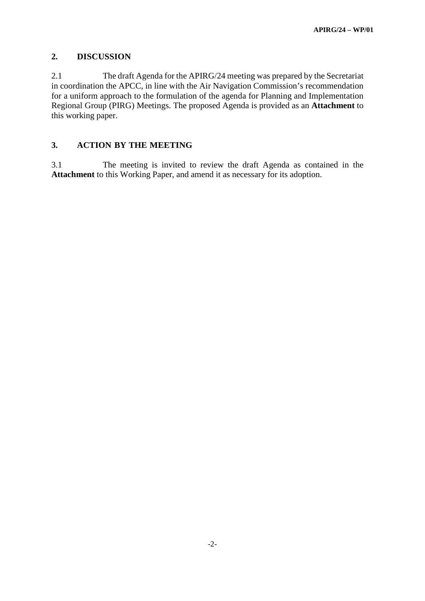#### **2. DISCUSSION**

2.1 The draft Agenda for the APIRG/24 meeting was prepared by the Secretariat in coordination the APCC, in line with the Air Navigation Commission's recommendation for a uniform approach to the formulation of the agenda for Planning and Implementation Regional Group (PIRG) Meetings. The proposed Agenda is provided as an **Attachment** to this working paper.

#### **3. ACTION BY THE MEETING**

3.1 The meeting is invited to review the draft Agenda as contained in the **Attachment** to this Working Paper, and amend it as necessary for its adoption.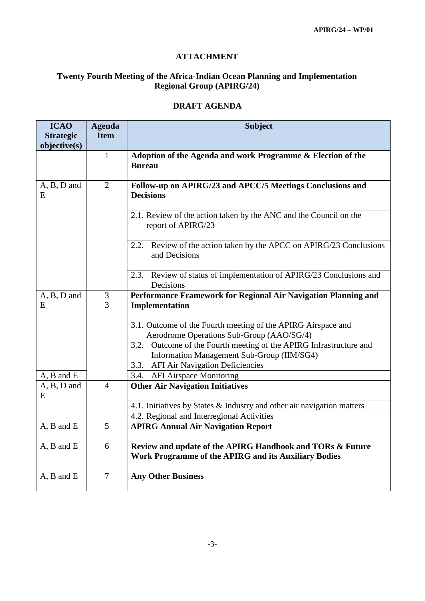#### **ATTACHMENT**

# **Twenty Fourth Meeting of the Africa-Indian Ocean Planning and Implementation Regional Group (APIRG/24)**

| <b>ICAO</b><br><b>Strategic</b> | <b>Agenda</b><br><b>Item</b> | <b>Subject</b>                                                                                                    |
|---------------------------------|------------------------------|-------------------------------------------------------------------------------------------------------------------|
| objective(s)                    |                              |                                                                                                                   |
|                                 | $\mathbf{1}$                 | Adoption of the Agenda and work Programme & Election of the<br><b>Bureau</b>                                      |
| A, B, D and<br>E                | $\overline{2}$               | Follow-up on APIRG/23 and APCC/5 Meetings Conclusions and<br><b>Decisions</b>                                     |
|                                 |                              | 2.1. Review of the action taken by the ANC and the Council on the<br>report of APIRG/23                           |
|                                 |                              | 2.2. Review of the action taken by the APCC on APIRG/23 Conclusions<br>and Decisions                              |
|                                 |                              | 2.3. Review of status of implementation of APIRG/23 Conclusions and<br>Decisions                                  |
| A, B, D and                     | 3                            | Performance Framework for Regional Air Navigation Planning and                                                    |
| E                               | 3                            | Implementation                                                                                                    |
|                                 |                              | 3.1. Outcome of the Fourth meeting of the APIRG Airspace and                                                      |
|                                 |                              | Aerodrome Operations Sub-Group (AAO/SG/4)                                                                         |
|                                 |                              | 3.2. Outcome of the Fourth meeting of the APIRG Infrastructure and                                                |
|                                 |                              | Information Management Sub-Group (IIM/SG4)                                                                        |
|                                 |                              | 3.3.<br><b>AFI Air Navigation Deficiencies</b>                                                                    |
| A, B and E                      |                              | <b>AFI Airspace Monitoring</b><br>3.4.                                                                            |
| $A, B, D$ and<br>E              | $\overline{4}$               | <b>Other Air Navigation Initiatives</b>                                                                           |
|                                 |                              | 4.1. Initiatives by States & Industry and other air navigation matters                                            |
|                                 |                              | 4.2. Regional and Interregional Activities                                                                        |
| A, B and E                      | 5                            | <b>APIRG Annual Air Navigation Report</b>                                                                         |
| A, B and E                      | 6                            | Review and update of the APIRG Handbook and TORs & Future<br>Work Programme of the APIRG and its Auxiliary Bodies |
| A, B and E                      | $\overline{7}$               | <b>Any Other Business</b>                                                                                         |

#### **DRAFT AGENDA**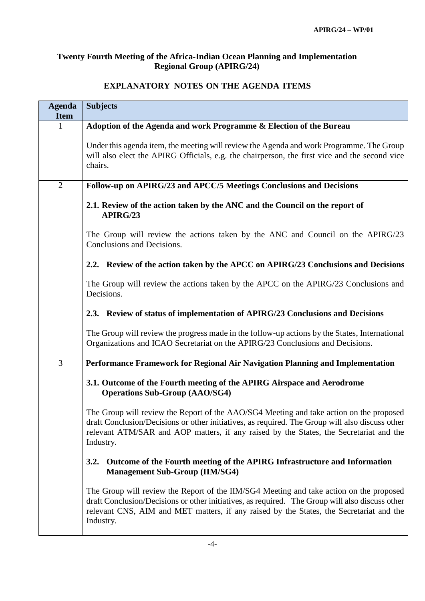### **Twenty Fourth Meeting of the Africa-Indian Ocean Planning and Implementation Regional Group (APIRG/24)**

# **Agenda Item Subjects** 1 **Adoption of the Agenda and work Programme & Election of the Bureau** Under this agenda item, the meeting will review the Agenda and work Programme. The Group will also elect the APIRG Officials, e.g. the chairperson, the first vice and the second vice chairs. 2 **Follow-up on APIRG/23 and APCC/5 Meetings Conclusions and Decisions 2.1. Review of the action taken by the ANC and the Council on the report of APIRG/23** The Group will review the actions taken by the ANC and Council on the APIRG/23 Conclusions and Decisions. **2.2. Review of the action taken by the APCC on APIRG/23 Conclusions and Decisions** The Group will review the actions taken by the APCC on the APIRG/23 Conclusions and Decisions. **2.3. Review of status of implementation of APIRG/23 Conclusions and Decisions** The Group will review the progress made in the follow-up actions by the States, International Organizations and ICAO Secretariat on the APIRG/23 Conclusions and Decisions. 3 **Performance Framework for Regional Air Navigation Planning and Implementation 3.1. Outcome of the Fourth meeting of the APIRG Airspace and Aerodrome Operations Sub-Group (AAO/SG4)** The Group will review the Report of the AAO/SG4 Meeting and take action on the proposed draft Conclusion/Decisions or other initiatives, as required. The Group will also discuss other relevant ATM/SAR and AOP matters, if any raised by the States, the Secretariat and the Industry. **3.2. Outcome of the Fourth meeting of the APIRG Infrastructure and Information Management Sub-Group (IIM/SG4)** The Group will review the Report of the IIM/SG4 Meeting and take action on the proposed draft Conclusion/Decisions or other initiatives, as required. The Group will also discuss other relevant CNS, AIM and MET matters, if any raised by the States, the Secretariat and the Industry.

# **EXPLANATORY NOTES ON THE AGENDA ITEMS**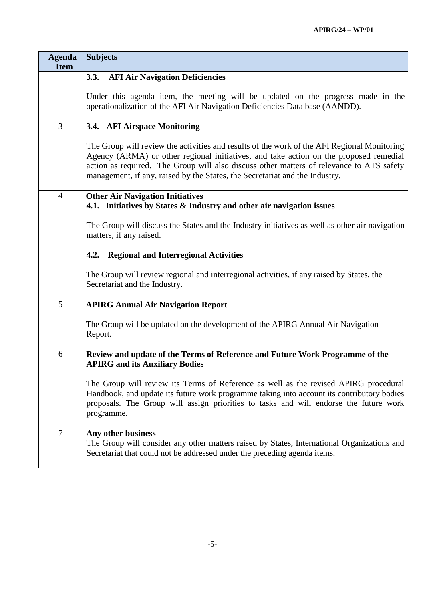| <b>Agenda</b><br><b>Item</b> | <b>Subjects</b>                                                                                                                                                                                                                                                                                                                                                 |
|------------------------------|-----------------------------------------------------------------------------------------------------------------------------------------------------------------------------------------------------------------------------------------------------------------------------------------------------------------------------------------------------------------|
|                              | <b>AFI Air Navigation Deficiencies</b><br>3.3.                                                                                                                                                                                                                                                                                                                  |
|                              | Under this agenda item, the meeting will be updated on the progress made in the<br>operationalization of the AFI Air Navigation Deficiencies Data base (AANDD).                                                                                                                                                                                                 |
| 3                            | 3.4. AFI Airspace Monitoring                                                                                                                                                                                                                                                                                                                                    |
|                              | The Group will review the activities and results of the work of the AFI Regional Monitoring<br>Agency (ARMA) or other regional initiatives, and take action on the proposed remedial<br>action as required. The Group will also discuss other matters of relevance to ATS safety<br>management, if any, raised by the States, the Secretariat and the Industry. |
| $\overline{4}$               | <b>Other Air Navigation Initiatives</b><br>4.1. Initiatives by States & Industry and other air navigation issues                                                                                                                                                                                                                                                |
|                              | The Group will discuss the States and the Industry initiatives as well as other air navigation<br>matters, if any raised.                                                                                                                                                                                                                                       |
|                              | <b>Regional and Interregional Activities</b><br>4.2.                                                                                                                                                                                                                                                                                                            |
|                              | The Group will review regional and interregional activities, if any raised by States, the<br>Secretariat and the Industry.                                                                                                                                                                                                                                      |
| 5                            | <b>APIRG Annual Air Navigation Report</b>                                                                                                                                                                                                                                                                                                                       |
|                              | The Group will be updated on the development of the APIRG Annual Air Navigation<br>Report.                                                                                                                                                                                                                                                                      |
| 6                            | Review and update of the Terms of Reference and Future Work Programme of the<br><b>APIRG and its Auxiliary Bodies</b>                                                                                                                                                                                                                                           |
|                              | The Group will review its Terms of Reference as well as the revised APIRG procedural<br>Handbook, and update its future work programme taking into account its contributory bodies<br>proposals. The Group will assign priorities to tasks and will endorse the future work<br>programme.                                                                       |
| 7                            | Any other business<br>The Group will consider any other matters raised by States, International Organizations and<br>Secretariat that could not be addressed under the preceding agenda items.                                                                                                                                                                  |